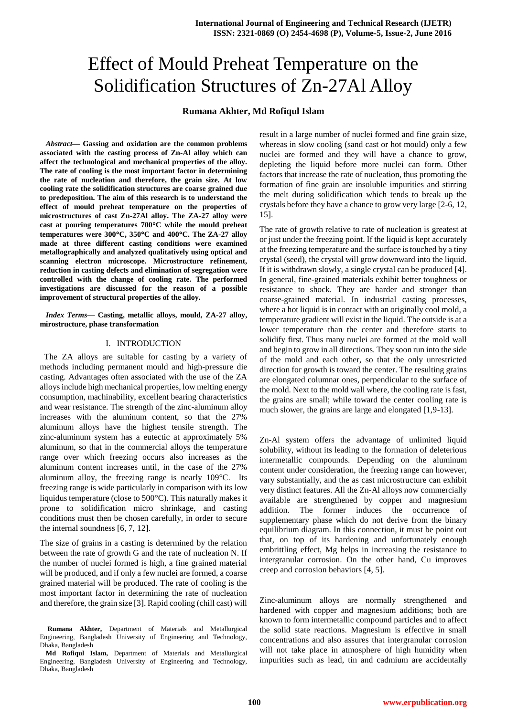# Effect of Mould Preheat Temperature on the Solidification Structures of Zn-27Al Alloy

## **Rumana Akhter, Md Rofiqul Islam**

*Abstract***— Gassing and oxidation are the common problems associated with the casting process of Zn-Al alloy which can affect the technological and mechanical properties of the alloy. The rate of cooling is the most important factor in determining the rate of nucleation and therefore, the grain size. At low cooling rate the solidification structures are coarse grained due to predeposition. The aim of this research is to understand the effect of mould preheat temperature on the properties of microstructures of cast Zn-27Al alloy. The ZA-27 alloy were cast at pouring temperatures 700C while the mould preheat temperatures were 300C, 350C and 400C. The ZA-27 alloy made at three different casting conditions were examined metallographically and analyzed qualitatively using optical and scanning electron microscope. Microstructure refinement, reduction in casting defects and elimination of segregation were controlled with the change of cooling rate. The performed investigations are discussed for the reason of a possible improvement of structural properties of the alloy.**

*Index Terms***— Casting, metallic alloys, mould, ZA-27 alloy, mirostructure, phase transformation**

#### I. INTRODUCTION

 The ZA alloys are suitable for casting by a variety of methods including permanent mould and high-pressure die casting. Advantages often associated with the use of the ZA alloys include high mechanical properties, low melting energy consumption, machinability, excellent bearing characteristics and wear resistance. The strength of the zinc-aluminum alloy increases with the aluminum content, so that the 27% aluminum alloys have the highest tensile strength. The zinc-aluminum system has a eutectic at approximately 5% aluminum, so that in the commercial alloys the temperature range over which freezing occurs also increases as the aluminum content increases until, in the case of the 27% aluminum alloy, the freezing range is nearly  $109^{\circ}$ C. Its freezing range is wide particularly in comparison with its low liquidus temperature (close to  $500^{\circ}$ C). This naturally makes it prone to solidification micro shrinkage, and casting conditions must then be chosen carefully, in order to secure the internal soundness [6, 7, 12].

The size of grains in a casting is determined by the relation between the rate of growth G and the rate of nucleation N. If the number of nuclei formed is high, a fine grained material will be produced, and if only a few nuclei are formed, a coarse grained material will be produced. The rate of cooling is the most important factor in determining the rate of nucleation and therefore, the grain size [3]. Rapid cooling (chill cast) will result in a large number of nuclei formed and fine grain size, whereas in slow cooling (sand cast or hot mould) only a few nuclei are formed and they will have a chance to grow, depleting the liquid before more nuclei can form. Other factors that increase the rate of nucleation, thus promoting the formation of fine grain are insoluble impurities and stirring the melt during solidification which tends to break up the crystals before they have a chance to grow very large [2-6, 12, 15].

The rate of growth relative to rate of nucleation is greatest at or just under the freezing point. If the liquid is kept accurately at the freezing temperature and the surface is touched by a tiny crystal (seed), the crystal will grow downward into the liquid. If it is withdrawn slowly, a single crystal can be produced [4]. In general, fine-grained materials exhibit better toughness or resistance to shock. They are harder and stronger than coarse-grained material. In industrial casting processes, where a hot liquid is in contact with an originally cool mold, a temperature gradient will exist in the liquid. The outside is at a lower temperature than the center and therefore starts to solidify first. Thus many nuclei are formed at the mold wall and begin to grow in all directions. They soon run into the side of the mold and each other, so that the only unrestricted direction for growth is toward the center. The resulting grains are elongated columnar ones, perpendicular to the surface of the mold. Next to the mold wall where, the cooling rate is fast, the grains are small; while toward the center cooling rate is much slower, the grains are large and elongated [1,9-13].

Zn-Al system offers the advantage of unlimited liquid solubility, without its leading to the formation of deleterious intermetallic compounds. Depending on the aluminum content under consideration, the freezing range can however, vary substantially, and the as cast microstructure can exhibit very distinct features. All the Zn-Al alloys now commercially available are strengthened by copper and magnesium addition. The former induces the occurrence of supplementary phase which do not derive from the binary equilibrium diagram. In this connection, it must be point out that, on top of its hardening and unfortunately enough embrittling effect, Mg helps in increasing the resistance to intergranular corrosion. On the other hand, Cu improves creep and corrosion behaviors [4, 5].

Zinc-aluminum alloys are normally strengthened and hardened with copper and magnesium additions; both are known to form intermetallic compound particles and to affect the solid state reactions. Magnesium is effective in small concentrations and also assures that intergranular corrosion will not take place in atmosphere of high humidity when impurities such as lead, tin and cadmium are accidentally

**Rumana Akhter,** Department of Materials and Metallurgical Engineering, Bangladesh University of Engineering and Technology, Dhaka, Bangladesh

**Md Rofiqul Islam,** Department of Materials and Metallurgical Engineering, Bangladesh University of Engineering and Technology, Dhaka, Bangladesh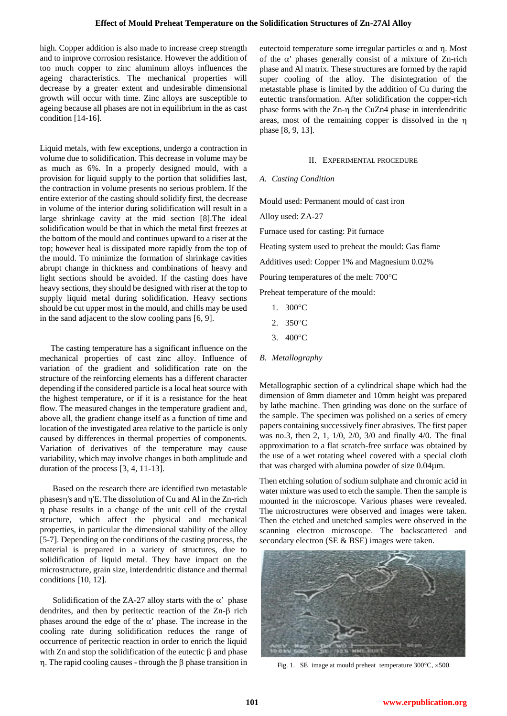high. Copper addition is also made to increase creep strength and to improve corrosion resistance. However the addition of too much copper to zinc aluminum alloys influences the ageing characteristics. The mechanical properties will decrease by a greater extent and undesirable dimensional growth will occur with time. Zinc alloys are susceptible to ageing because all phases are not in equilibrium in the as cast condition [14-16].

Liquid metals, with few exceptions, undergo a contraction in volume due to solidification. This decrease in volume may be as much as 6%. In a properly designed mould, with a provision for liquid supply to the portion that solidifies last, the contraction in volume presents no serious problem. If the entire exterior of the casting should solidify first, the decrease in volume of the interior during solidification will result in a large shrinkage cavity at the mid section [8].The ideal solidification would be that in which the metal first freezes at the bottom of the mould and continues upward to a riser at the top; however heal is dissipated more rapidly from the top of the mould. To minimize the formation of shrinkage cavities abrupt change in thickness and combinations of heavy and light sections should be avoided. If the casting does have heavy sections, they should be designed with riser at the top to supply liquid metal during solidification. Heavy sections should be cut upper most in the mould, and chills may be used in the sand adjacent to the slow cooling pans [6, 9].

 The casting temperature has a significant influence on the mechanical properties of cast zinc alloy. Influence of variation of the gradient and solidification rate on the structure of the reinforcing elements has a different character depending if the considered particle is a local heat source with the highest temperature, or if it is a resistance for the heat flow. The measured changes in the temperature gradient and, above all, the gradient change itself as a function of time and location of the investigated area relative to the particle is only caused by differences in thermal properties of components. Variation of derivatives of the temperature may cause variability, which may involve changes in both amplitude and duration of the process [3, 4, 11-13].

 Based on the research there are identified two metastable  $phases\gamma's$  and  $\eta'E$ . The dissolution of Cu and Al in the Zn-rich phase results in a change of the unit cell of the crystal structure, which affect the physical and mechanical properties, in particular the dimensional stability of the alloy [5-7]. Depending on the conditions of the casting process, the material is prepared in a variety of structures, due to solidification of liquid metal. They have impact on the microstructure, grain size, interdendritic distance and thermal conditions [10, 12].

Solidification of the ZA-27 alloy starts with the  $\alpha'$  phase dendrites, and then by peritectic reaction of the  $Zn-\beta$  rich phases around the edge of the  $\alpha'$  phase. The increase in the cooling rate during solidification reduces the range of occurrence of peritectic reaction in order to enrich the liquid with  $Zn$  and stop the solidification of the eutectic  $\beta$  and phase  $\eta$ . The rapid cooling causes - through the  $\beta$  phase transition in eutectoid temperature some irregular particles  $\alpha$  and  $\eta$ . Most of the  $\alpha'$  phases generally consist of a mixture of Zn-rich phase and Al matrix. These structures are formed by the rapid super cooling of the alloy. The disintegration of the metastable phase is limited by the addition of Cu during the eutectic transformation. After solidification the copper-rich phase forms with the  $Zn-n$  the CuZn4 phase in interdendritic areas, most of the remaining copper is dissolved in the phase [8, 9, 13].

## II. EXPERIMENTAL PROCEDURE

## *A. Casting Condition*

Mould used: Permanent mould of cast iron

Alloy used: ZA-27

Furnace used for casting: Pit furnace

Heating system used to preheat the mould: Gas flame

Additives used: Copper 1% and Magnesium 0.02%

Pouring temperatures of the melt:  $700^{\circ}$ C

Preheat temperature of the mould:

- 1. 300°C
- 2.  $350^{\circ}$ C
- 3. 400°C
- *B. Metallography*

Metallographic section of a cylindrical shape which had the dimension of 8mm diameter and 10mm height was prepared by lathe machine. Then grinding was done on the surface of the sample. The specimen was polished on a series of emery papers containing successively finer abrasives. The first paper was no.3, then 2, 1, 1/0, 2/0, 3/0 and finally 4/0. The final approximation to a flat scratch-free surface was obtained by the use of a wet rotating wheel covered with a special cloth that was charged with alumina powder of size 0.04µm.

Then etching solution of sodium sulphate and chromic acid in water mixture was used to etch the sample. Then the sample is mounted in the microscope. Various phases were revealed. The microstructures were observed and images were taken. Then the etched and unetched samples were observed in the scanning electron microscope. The backscattered and secondary electron (SE & BSE) images were taken.



Fig. 1. SE image at mould preheat temperature  $300^{\circ}$ C,  $\times 500$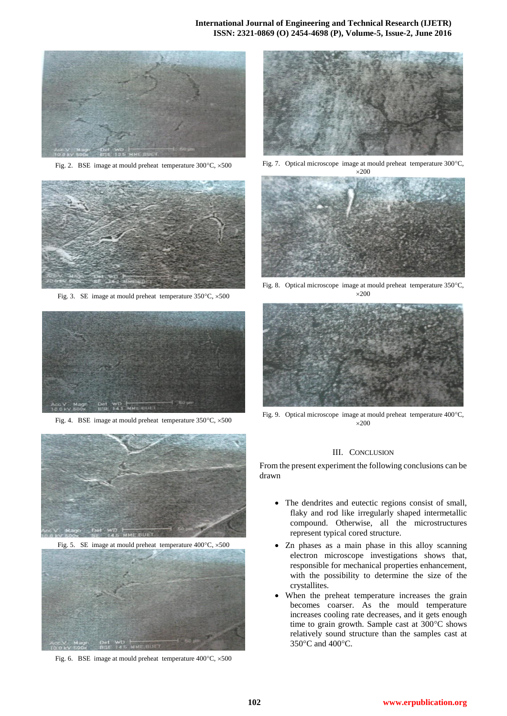

Fig. 2. BSE image at mould preheat temperature  $300^{\circ}$ C,  $\times 500$ 



Fig. 3. SE image at mould preheat temperature  $350^{\circ}$ C,  $\times$  500



Fig. 4. BSE image at mould preheat temperature  $350^{\circ}$ C,  $\times$  500



Fig. 5. SE image at mould preheat temperature  $400^{\circ}$ C,  $\times 500$ 



Fig. 6. BSE image at mould preheat temperature  $400^{\circ}$ C,  $\times 500$ 



Fig. 7. Optical microscope image at mould preheat temperature 300°C,



Fig. 8. Optical microscope image at mould preheat temperature 350°C,  $\times 200$ 



Fig. 9. Optical microscope image at mould preheat temperature 400°C,  $\times$ 200

### III. CONCLUSION

From the present experiment the following conclusions can be drawn

- The dendrites and eutectic regions consist of small, flaky and rod like irregularly shaped intermetallic compound. Otherwise, all the microstructures represent typical cored structure.
- Zn phases as a main phase in this alloy scanning electron microscope investigations shows that, responsible for mechanical properties enhancement, with the possibility to determine the size of the crystallites.
- When the preheat temperature increases the grain becomes coarser. As the mould temperature increases cooling rate decreases, and it gets enough time to grain growth. Sample cast at  $300^{\circ}$ C shows relatively sound structure than the samples cast at 350°C and 400°C.